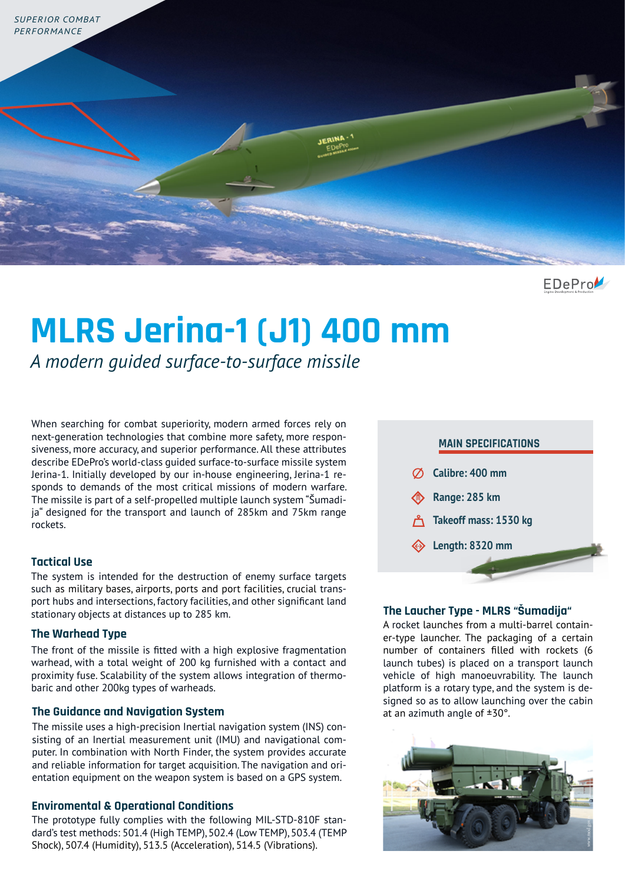

EDePro

# **MLRS Jerina-1 (J1) 400 mm**

*A modern guided surface-to-surface missile* 

When searching for combat superiority, modern armed forces rely on next-generation technologies that combine more safety, more responsiveness, more accuracy, and superior performance. All these attributes describe EDePro's world-class guided surface-to-surface missile system Jerina-1. Initially developed by our in-house engineering, Jerina-1 responds to demands of the most critical missions of modern warfare. The missile is part of a self-propelled multiple launch system "Šumadija" designed for the transport and launch of 285km and 75km range rockets.

# **Tactical Use**

The system is intended for the destruction of enemy surface targets such as military bases, airports, ports and port facilities, crucial transport hubs and intersections, factory facilities, and other significant land stationary objects at distances up to 285 km.

### **The Warhead Type**

The front of the missile is fitted with a high explosive fragmentation warhead, with a total weight of 200 kg furnished with a contact and proximity fuse. Scalability of the system allows integration of thermobaric and other 200kg types of warheads.

## **The Guidance and Navigation System**

The missile uses a high-precision Inertial navigation system (INS) consisting of an Inertial measurement unit (IMU) and navigational computer. In combination with North Finder, the system provides accurate and reliable information for target acquisition. The navigation and orientation equipment on the weapon system is based on a GPS system.

### **Enviromental & Operational Conditions**

The prototype fully complies with the following MIL-STD-810F standard's test methods: 501.4 (High TEMP), 502.4 (Low TEMP), 503.4 (TEMP Shock), 507.4 (Humidity), 513.5 (Acceleration), 514.5 (Vibrations).



## **The Laucher Type - MLRS "Šumadija"**

A rocket launches from a multi-barrel container-type launcher. The packaging of a certain number of containers filled with rockets (6 launch tubes) is placed on a transport launch vehicle of high manoeuvrability. The launch platform is a rotary type, and the system is designed so as to allow launching over the cabin at an azimuth angle of ±30°.